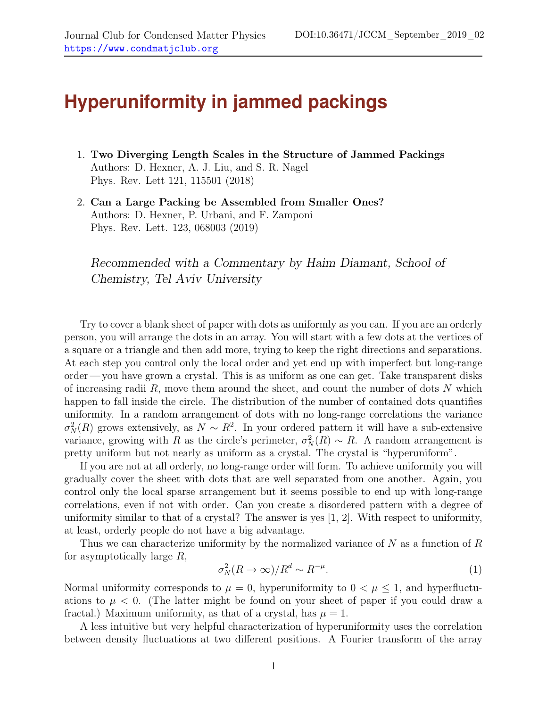## **Hyperuniformity in jammed packings**

- 1. Two Diverging Length Scales in the Structure of Jammed Packings Authors: D. Hexner, A. J. Liu, and S. R. Nagel Phys. Rev. Lett 121, 115501 (2018)
- 2. Can a Large Packing be Assembled from Smaller Ones? Authors: D. Hexner, P. Urbani, and F. Zamponi Phys. Rev. Lett. 123, 068003 (2019)

Recommended with a Commentary by Haim Diamant, School of Chemistry, Tel Aviv University

Try to cover a blank sheet of paper with dots as uniformly as you can. If you are an orderly person, you will arrange the dots in an array. You will start with a few dots at the vertices of a square or a triangle and then add more, trying to keep the right directions and separations. At each step you control only the local order and yet end up with imperfect but long-range order— you have grown a crystal. This is as uniform as one can get. Take transparent disks of increasing radii  $R$ , move them around the sheet, and count the number of dots  $N$  which happen to fall inside the circle. The distribution of the number of contained dots quantifies uniformity. In a random arrangement of dots with no long-range correlations the variance  $\sigma_N^2(R)$  grows extensively, as  $N \sim R^2$ . In your ordered pattern it will have a sub-extensive variance, growing with R as the circle's perimeter,  $\sigma_N^2(R) \sim R$ . A random arrangement is pretty uniform but not nearly as uniform as a crystal. The crystal is "hyperuniform".

If you are not at all orderly, no long-range order will form. To achieve uniformity you will gradually cover the sheet with dots that are well separated from one another. Again, you control only the local sparse arrangement but it seems possible to end up with long-range correlations, even if not with order. Can you create a disordered pattern with a degree of uniformity similar to that of a crystal? The answer is yes [\[1,](#page-2-0) [2\]](#page-2-1). With respect to uniformity, at least, orderly people do not have a big advantage.

Thus we can characterize uniformity by the normalized variance of  $N$  as a function of  $R$ for asymptotically large R,

<span id="page-0-0"></span>
$$
\sigma_N^2(R \to \infty)/R^d \sim R^{-\mu}.\tag{1}
$$

Normal uniformity corresponds to  $\mu = 0$ , hyperuniformity to  $0 < \mu \leq 1$ , and hyperfluctuations to  $\mu < 0$ . (The latter might be found on your sheet of paper if you could draw a fractal.) Maximum uniformity, as that of a crystal, has  $\mu = 1$ .

A less intuitive but very helpful characterization of hyperuniformity uses the correlation between density fluctuations at two different positions. A Fourier transform of the array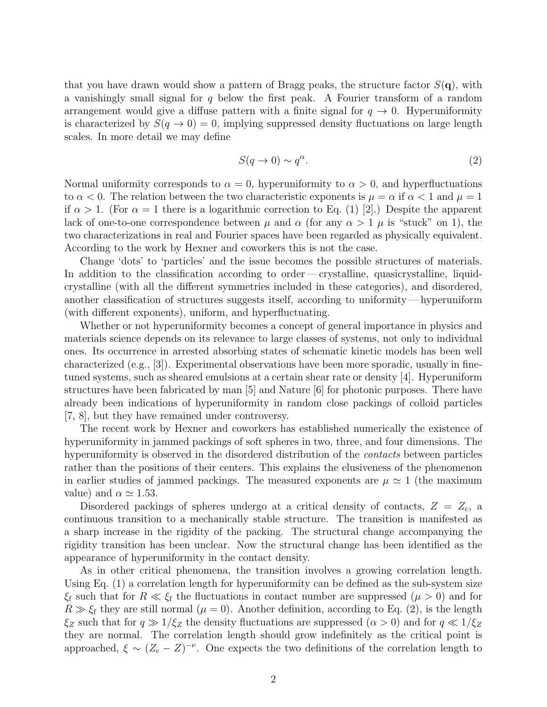that you have drawn would show a pattern of Bragg peaks, the structure factor  $S(\mathbf{q})$ , with a vanishingly small signal for  $q$  below the first peak. A Fourier transform of a random arrangement would give a diffuse pattern with a finite signal for  $q \to 0$ . Hyperuniformity is characterized by  $S(q \to 0) = 0$ , implying suppressed density fluctuations on large length scales. In more detail we may define

<span id="page-1-0"></span>
$$
S(q \to 0) \sim q^{\alpha}.\tag{2}
$$

Normal uniformity corresponds to  $\alpha = 0$ , hyperuniformity to  $\alpha > 0$ , and hyperfluctuations to  $\alpha < 0$ . The relation between the two characteristic exponents is  $\mu = \alpha$  if  $\alpha < 1$  and  $\mu = 1$ if  $\alpha > 1$ . (For  $\alpha = 1$  there is a logarithmic correction to Eq. [\(1\)](#page-0-0) [\[2\]](#page-2-1).) Despite the apparent lack of one-to-one correspondence between  $\mu$  and  $\alpha$  (for any  $\alpha > 1$   $\mu$  is "stuck" on 1), the two characterizations in real and Fourier spaces have been regarded as physically equivalent. According to the work by Hexner and coworkers this is not the case.

Change 'dots' to 'particles' and the issue becomes the possible structures of materials. In addition to the classification according to order—crystalline, quasicrystalline, liquidcrystalline (with all the different symmetries included in these categories), and disordered, another classification of structures suggests itself, according to uniformity — hyperuniform (with different exponents), uniform, and hyperfluctuating.

Whether or not hyperuniformity becomes a concept of general importance in physics and materials science depends on its relevance to large classes of systems, not only to individual ones. Its occurrence in arrested absorbing states of schematic kinetic models has been well characterized (e.g., [\[3\]](#page-2-2)). Experimental observations have been more sporadic, usually in finetuned systems, such as sheared emulsions at a certain shear rate or density [\[4\]](#page-2-3). Hyperuniform structures have been fabricated by man [\[5\]](#page-2-4) and Nature [\[6\]](#page-2-5) for photonic purposes. There have already been indications of hyperuniformity in random close packings of colloid particles [\[7,](#page-2-6) [8\]](#page-2-7), but they have remained under controversy.

The recent work by Hexner and coworkers has established numerically the existence of hyperuniformity in jammed packings of soft spheres in two, three, and four dimensions. The hyperuniformity is observed in the disordered distribution of the *contacts* between particles rather than the positions of their centers. This explains the elusiveness of the phenomenon in earlier studies of jammed packings. The measured exponents are  $\mu \simeq 1$  (the maximum value) and  $\alpha \simeq 1.53$ .

Disordered packings of spheres undergo at a critical density of contacts,  $Z = Z_c$ , a continuous transition to a mechanically stable structure. The transition is manifested as a sharp increase in the rigidity of the packing. The structural change accompanying the rigidity transition has been unclear. Now the structural change has been identified as the appearance of hyperuniformity in the contact density.

As in other critical phenomena, the transition involves a growing correlation length. Using Eq. [\(1\)](#page-0-0) a correlation length for hyperuniformity can be defined as the sub-system size  $\xi_f$  such that for  $R \ll \xi_f$  the fluctuations in contact number are suppressed  $(\mu > 0)$  and for  $R \gg \xi_f$  they are still normal  $(\mu = 0)$ . Another definition, according to Eq. [\(2\)](#page-1-0), is the length  $\xi_Z$  such that for  $q \gg 1/\xi_Z$  the density fluctuations are suppressed  $(\alpha > 0)$  and for  $q \ll 1/\xi_Z$ they are normal. The correlation length should grow indefinitely as the critical point is approached,  $\xi \sim (Z_c - Z)^{-\nu}$ . One expects the two definitions of the correlation length to